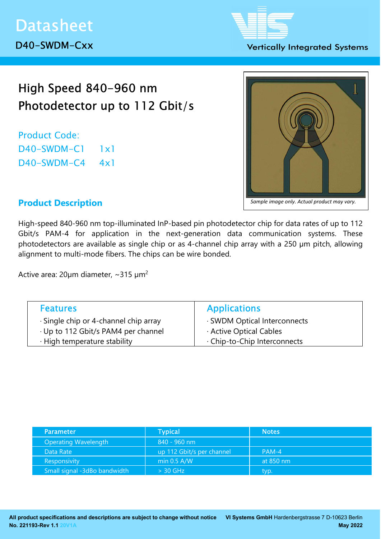

### **Vertically Integrated Systems**

# High Speed 840-960 nm Photodetector up to 112 Gbit/s

Product Code: D40-SWDM-C1 1x1 D40-SWDM-C4 4x1



# Product Description

High-speed 840-960 nm top-illuminated InP-based pin photodetector chip for data rates of up to 112 Gbit/s PAM-4 for application in the next-generation data communication systems. These photodetectors are available as single chip or as 4-channel chip array with a 250 µm pitch, allowing alignment to multi-mode fibers. The chips can be wire bonded.

Active area:  $20 \mu m$  diameter, ~315  $\mu m^2$ 

| <b>Features</b>                             | <b>Applications</b>          |
|---------------------------------------------|------------------------------|
| $\cdot$ Single chip or 4-channel chip array | · SWDM Optical Interconnects |
| · Up to 112 Gbit/s PAM4 per channel         | Active Optical Cables        |
| · High temperature stability                | . Chip-to-Chip Interconnects |

| <b>Parameter</b>             | <b>Typical</b>            | <b>Notes</b> |
|------------------------------|---------------------------|--------------|
| <b>Operating Wavelength</b>  | 840 - 960 nm              |              |
| Data Rate                    | up 112 Gbit/s per channel | $PAM-4$      |
| <b>Responsivity</b>          | min $0.5$ A/W             | at 850 nm    |
| Small signal -3dBo bandwidth | $> 30$ GHz                | typ.         |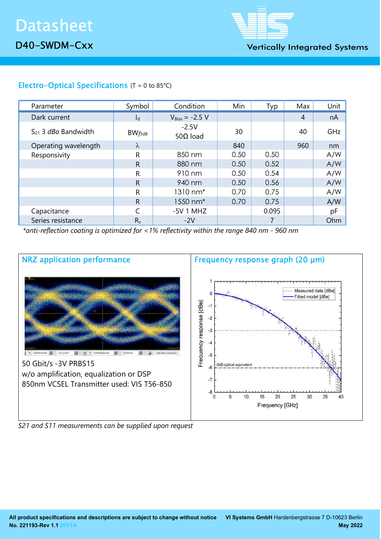

**Vertically Integrated Systems** 

# Electro-Optical Specifications  $(T = 0 \text{ to } 85^{\circ}\text{C})$

| Parameter                  | Symbol       | Condition                   | Min  | Typ   | Max            | Unit |
|----------------------------|--------------|-----------------------------|------|-------|----------------|------|
| Dark current               | $I_d$        | $V_{Bias} = -2.5 V$         |      |       | $\overline{A}$ | nA   |
| $S_{21}$ 3 $dBo$ Bandwidth | $BW_{f3dB}$  | $-2.5V$<br>50 $\Omega$ load | 30   |       | 40             | GHz  |
| Operating wavelength       | λ            |                             | 840  |       | 960            | nm   |
| Responsivity               | R            | 850 nm                      | 0.50 | 0.50  |                | A/W  |
|                            | $\mathsf{R}$ | 880 nm                      | 0.50 | 0.52  |                | A/W  |
|                            | R            | 910 nm                      | 0.50 | 0.54  |                | A/W  |
|                            | $\mathsf{R}$ | 940 nm                      | 0.50 | 0.56  |                | A/W  |
|                            | R            | 1310 nm*                    | 0.70 | 0.75  |                | A/W  |
|                            | $\mathsf{R}$ | 1550 nm <sup>*</sup>        | 0.70 | 0.75  |                | A/W  |
| Capacitance                |              | $-5V$ 1 MHZ                 |      | 0.095 |                | pF   |
| Series resistance          | $R_s$        | $-2V$                       |      | 7     |                | Ohm  |

\*anti-reflection coating is optimized for <1% reflectivity within the range 840 nm - 960 nm



S21 and S11 measurements can be supplied upon request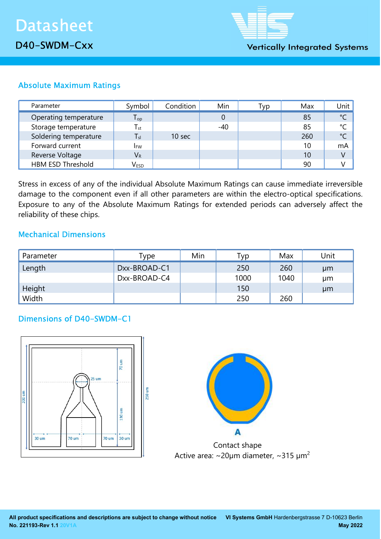

# Absolute Maximum Ratings

| Parameter                | Symbol                      | Condition | Min   | Typ | Max | Unit         |
|--------------------------|-----------------------------|-----------|-------|-----|-----|--------------|
| Operating temperature    | ${\mathsf T}_{\textsf{op}}$ |           |       |     | 85  | $^{\circ}$ C |
| Storage temperature      | $T_{\rm st}$                |           | $-40$ |     | 85  | $^{\circ}C$  |
| Soldering temperature    | $T_{sl}$                    | 10 sec    |       |     | 260 | $^{\circ}C$  |
| Forward current          | <b>I</b> <sub>FW</sub>      |           |       |     | 10  | mA           |
| Reverse Voltage          | $V_{R}$                     |           |       |     | 10  | V            |
| <b>HBM ESD Threshold</b> | $\mathsf{V}_{\mathsf{ESD}}$ |           |       |     | 90  |              |

Stress in excess of any of the individual Absolute Maximum Ratings can cause immediate irreversible damage to the component even if all other parameters are within the electro-optical specifications. Exposure to any of the Absolute Maximum Ratings for extended periods can adversely affect the reliability of these chips.

## Mechanical Dimensions

| Parameter | Type         | Min | Гур  | Max  | Unit |
|-----------|--------------|-----|------|------|------|
| Length    | Dxx-BROAD-C1 |     | 250  | 260  | µm   |
|           | Dxx-BROAD-C4 |     | 1000 | 1040 | μm   |
| Height    |              |     | 150  |      | µm   |
| Width     |              |     | 250  | 260  |      |

## Dimensions of D40-SWDM-C1





 Contact shape Active area:  $\sim$ 20µm diameter,  $\sim$ 315 µm<sup>2</sup>